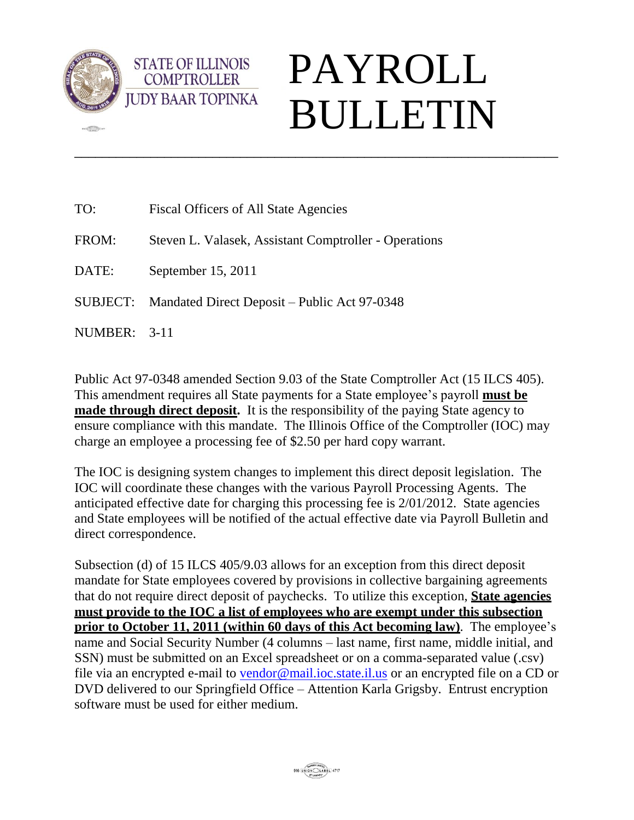

**CELL** 

## PAYROLL BULLETIN

| TO:          | Fiscal Officers of All State Agencies                 |
|--------------|-------------------------------------------------------|
| FROM:        | Steven L. Valasek, Assistant Comptroller - Operations |
| DATE:        | September 15, 2011                                    |
|              | SUBJECT: Mandated Direct Deposit – Public Act 97-0348 |
| NUMBER: 3-11 |                                                       |

**STATE OF ILLINOIS COMPTROLLER** 

Public Act 97-0348 amended Section 9.03 of the State Comptroller Act (15 ILCS 405). This amendment requires all State payments for a State employee's payroll **must be made through direct deposit.** It is the responsibility of the paying State agency to ensure compliance with this mandate. The Illinois Office of the Comptroller (IOC) may charge an employee a processing fee of \$2.50 per hard copy warrant.

\_\_\_\_\_\_\_\_\_\_\_\_\_\_\_\_\_\_\_\_\_\_\_\_\_\_\_\_\_\_\_\_\_\_\_\_\_\_\_\_\_\_\_\_\_\_\_\_\_\_\_\_\_\_\_\_\_\_\_\_\_\_\_\_\_\_\_\_\_\_

The IOC is designing system changes to implement this direct deposit legislation. The IOC will coordinate these changes with the various Payroll Processing Agents. The anticipated effective date for charging this processing fee is 2/01/2012. State agencies and State employees will be notified of the actual effective date via Payroll Bulletin and direct correspondence.

Subsection (d) of 15 ILCS 405/9.03 allows for an exception from this direct deposit mandate for State employees covered by provisions in collective bargaining agreements that do not require direct deposit of paychecks. To utilize this exception, **State agencies must provide to the IOC a list of employees who are exempt under this subsection prior to October 11, 2011 (within 60 days of this Act becoming law)**. The employee's name and Social Security Number (4 columns – last name, first name, middle initial, and SSN) must be submitted on an Excel spreadsheet or on a comma-separated value (.csv) file via an encrypted e-mail to [vendor@mail.ioc.state.il.us](mailto:vendor@mail.ioc.state.il.us) or an encrypted file on a CD or DVD delivered to our Springfield Office – Attention Karla Grigsby. Entrust encryption software must be used for either medium.